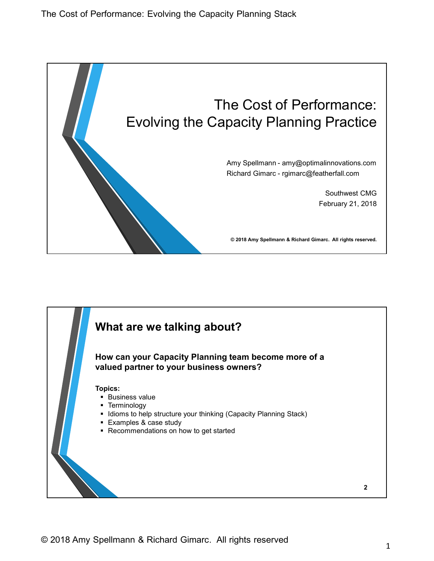

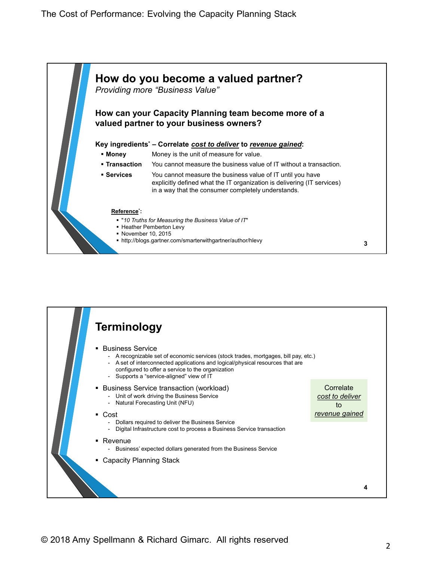

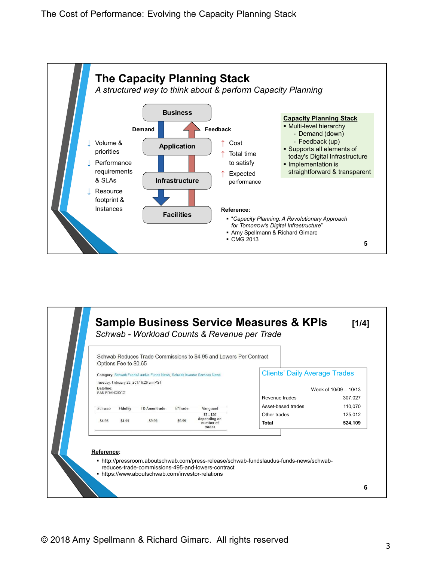

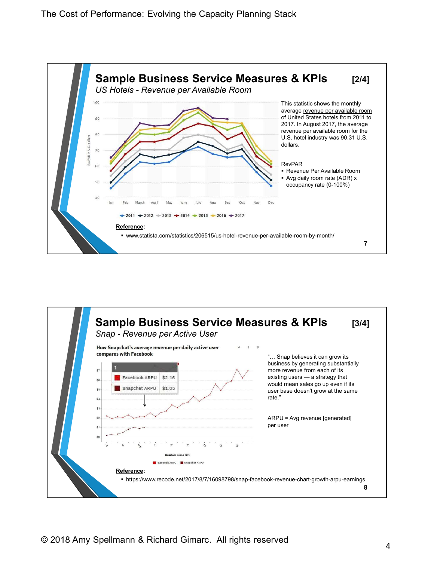

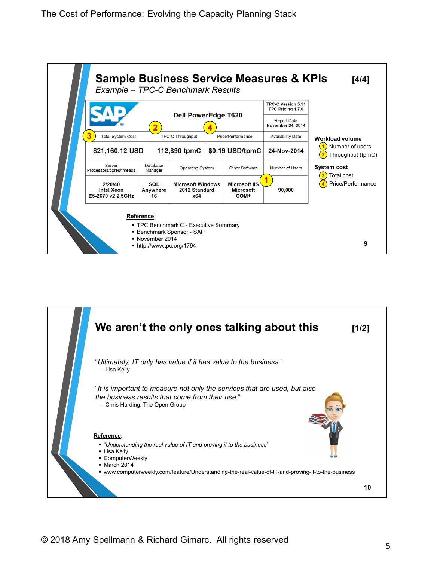

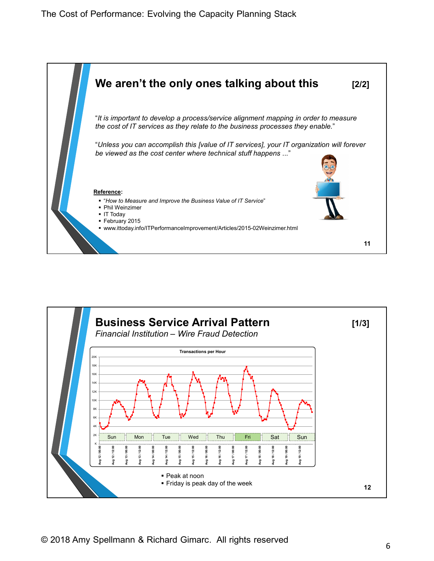

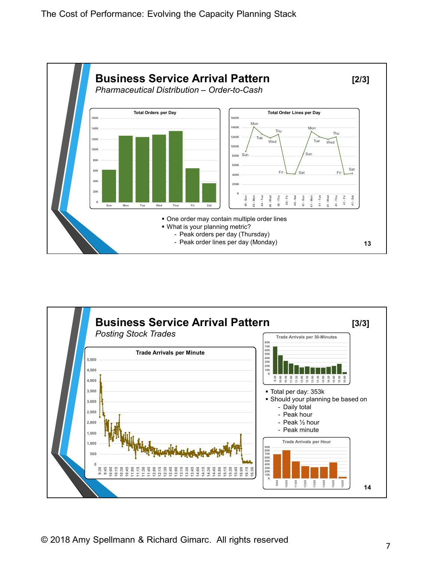

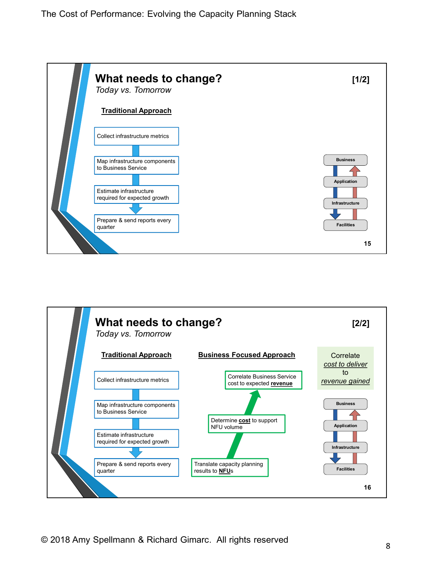

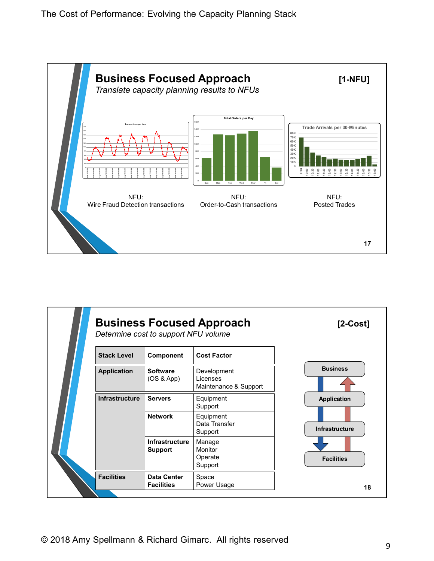

| NFU:<br>Wire Fraud Detection transactions |                                      | NFU:<br>Order-to-Cash transactions               | NFU:<br><b>Posted Trades</b> |  |  |
|-------------------------------------------|--------------------------------------|--------------------------------------------------|------------------------------|--|--|
|                                           |                                      |                                                  | 17                           |  |  |
|                                           | Determine cost to support NFU volume | <b>Business Focused Approach</b>                 | $[2$ -Cost]                  |  |  |
|                                           |                                      |                                                  |                              |  |  |
| <b>Stack Level</b>                        | Component<br><b>Software</b>         | <b>Cost Factor</b>                               | <b>Business</b>              |  |  |
| <b>Application</b>                        | (OS & App)                           | Development<br>Licenses<br>Maintenance & Support |                              |  |  |
| Infrastructure                            | <b>Servers</b>                       | Equipment                                        | Application                  |  |  |
|                                           | <b>Network</b>                       | Support<br>Equipment<br>Data Transfer<br>Support | Infrastructure               |  |  |
|                                           | Infrastructure<br><b>Support</b>     | Manage<br>Monitor<br>Operate<br>Support          | <b>Facilities</b>            |  |  |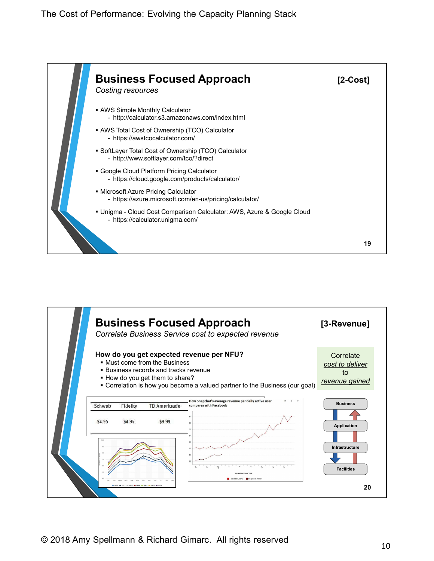

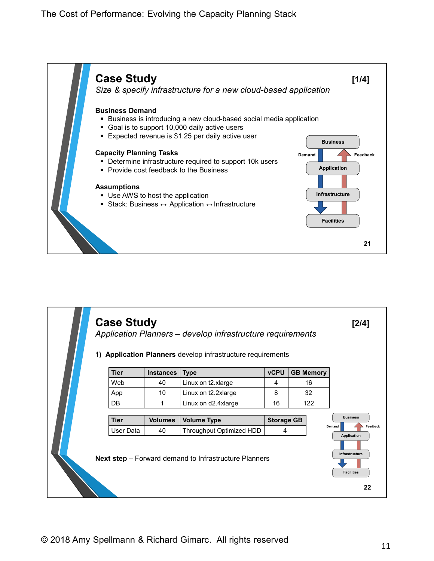

|                          |                      |                                                             |                        |                  | 21                                |
|--------------------------|----------------------|-------------------------------------------------------------|------------------------|------------------|-----------------------------------|
| <b>Case Study</b>        |                      | Application Planners - develop infrastructure requirements  |                        |                  | $[2/4]$                           |
|                          |                      |                                                             |                        |                  |                                   |
| <b>Tier</b>              | <b>Instances</b>     | 1) Application Planners develop infrastructure requirements | <b>vCPU</b>            | <b>GB Memory</b> |                                   |
| Web                      | 40                   | $ $ Type<br>Linux on t2.xlarge                              | $\overline{4}$         | 16               |                                   |
| App                      | 10                   | Linux on t2.2xlarge                                         | 8                      | 32               |                                   |
| $\mathsf{D}\mathsf{B}$   | $\mathbf{1}$         | Linux on d2.4xlarge                                         | 16                     | 122              |                                   |
|                          |                      |                                                             |                        |                  | <b>Business</b>                   |
| <b>Tier</b><br>User Data | <b>Volumes</b><br>40 | <b>Volume Type</b><br>Throughput Optimized HDD              | <b>Storage GB</b><br>4 |                  | Feedback<br>Demand<br>Application |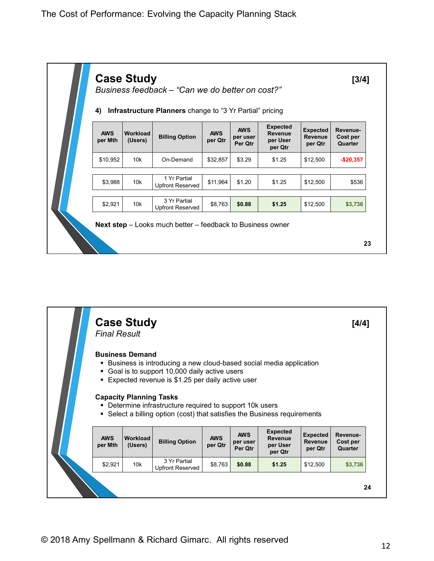

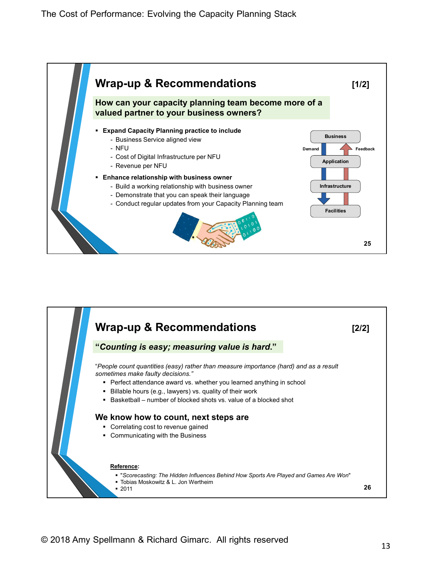